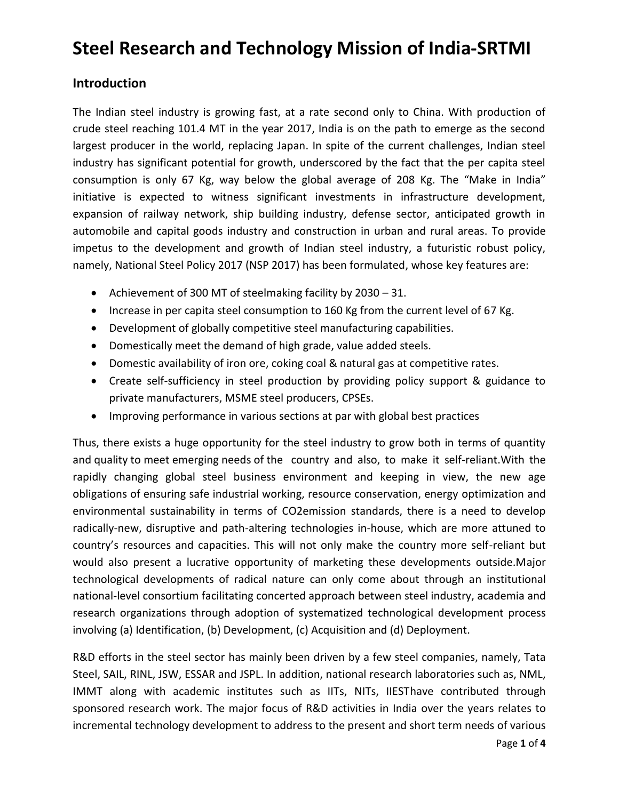# **Steel Research and Technology Mission of India-SRTMI**

# **Introduction**

The Indian steel industry is growing fast, at a rate second only to China. With production of crude steel reaching 101.4 MT in the year 2017, India is on the path to emerge as the second largest producer in the world, replacing Japan. In spite of the current challenges, Indian steel industry has significant potential for growth, underscored by the fact that the per capita steel consumption is only 67 Kg, way below the global average of 208 Kg. The "Make in India" initiative is expected to witness significant investments in infrastructure development, expansion of railway network, ship building industry, defense sector, anticipated growth in automobile and capital goods industry and construction in urban and rural areas. To provide impetus to the development and growth of Indian steel industry, a futuristic robust policy, namely, National Steel Policy 2017 (NSP 2017) has been formulated, whose key features are:

- Achievement of 300 MT of steelmaking facility by 2030 31.
- Increase in per capita steel consumption to 160 Kg from the current level of 67 Kg.
- Development of globally competitive steel manufacturing capabilities.
- Domestically meet the demand of high grade, value added steels.
- Domestic availability of iron ore, coking coal & natural gas at competitive rates.
- Create self-sufficiency in steel production by providing policy support & guidance to private manufacturers, MSME steel producers, CPSEs.
- Improving performance in various sections at par with global best practices

Thus, there exists a huge opportunity for the steel industry to grow both in terms of quantity and quality to meet emerging needs of the country and also, to make it self-reliant.With the rapidly changing global steel business environment and keeping in view, the new age obligations of ensuring safe industrial working, resource conservation, energy optimization and environmental sustainability in terms of CO2emission standards, there is a need to develop radically-new, disruptive and path-altering technologies in-house, which are more attuned to country's resources and capacities. This will not only make the country more self-reliant but would also present a lucrative opportunity of marketing these developments outside.Major technological developments of radical nature can only come about through an institutional national-level consortium facilitating concerted approach between steel industry, academia and research organizations through adoption of systematized technological development process involving (a) Identification, (b) Development, (c) Acquisition and (d) Deployment.

R&D efforts in the steel sector has mainly been driven by a few steel companies, namely, Tata Steel, SAIL, RINL, JSW, ESSAR and JSPL. In addition, national research laboratories such as, NML, IMMT along with academic institutes such as IITs, NITs, IIESThave contributed through sponsored research work. The major focus of R&D activities in India over the years relates to incremental technology development to address to the present and short term needs of various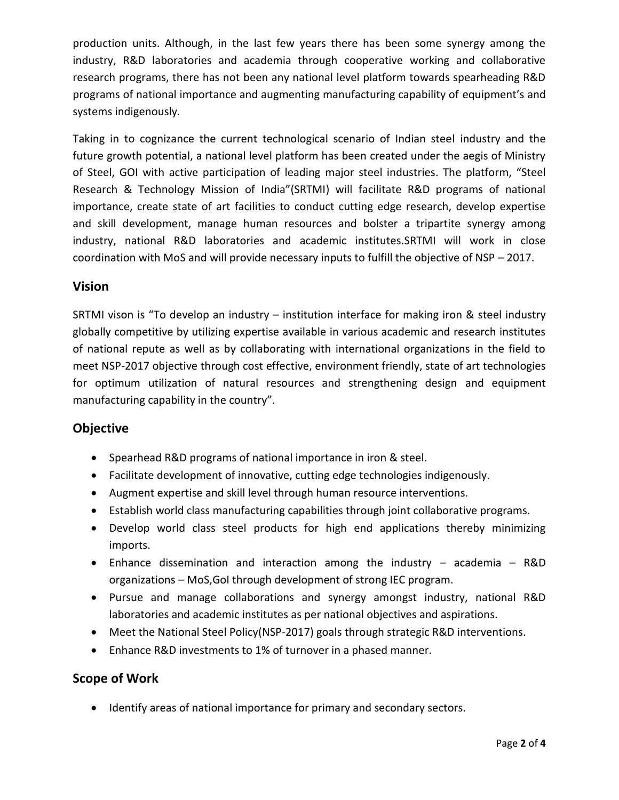production units. Although, in the last few years there has been some synergy among the industry, R&D laboratories and academia through cooperative working and collaborative research programs, there has not been any national level platform towards spearheading R&D programs of national importance and augmenting manufacturing capability of equipment's and systems indigenously.

Taking in to cognizance the current technological scenario of Indian steel industry and the future growth potential, a national level platform has been created under the aegis of Ministry of Steel, GOI with active participation of leading major steel industries. The platform, "Steel Research & Technology Mission of India"(SRTMI) will facilitate R&D programs of national importance, create state of art facilities to conduct cutting edge research, develop expertise and skill development, manage human resources and bolster a tripartite synergy among industry, national R&D laboratories and academic institutes.SRTMI will work in close coordination with MoS and will provide necessary inputs to fulfill the objective of NSP – 2017.

### **Vision**

SRTMI vison is "To develop an industry – institution interface for making iron & steel industry globally competitive by utilizing expertise available in various academic and research institutes of national repute as well as by collaborating with international organizations in the field to meet NSP-2017 objective through cost effective, environment friendly, state of art technologies for optimum utilization of natural resources and strengthening design and equipment manufacturing capability in the country".

# **Objective**

- Spearhead R&D programs of national importance in iron & steel.
- Facilitate development of innovative, cutting edge technologies indigenously.
- Augment expertise and skill level through human resource interventions.
- Establish world class manufacturing capabilities through joint collaborative programs.
- Develop world class steel products for high end applications thereby minimizing imports.
- Enhance dissemination and interaction among the industry academia R&D organizations – MoS,GoI through development of strong IEC program.
- Pursue and manage collaborations and synergy amongst industry, national R&D laboratories and academic institutes as per national objectives and aspirations.
- Meet the National Steel Policy(NSP-2017) goals through strategic R&D interventions.
- Enhance R&D investments to 1% of turnover in a phased manner.

# **Scope of Work**

• Identify areas of national importance for primary and secondary sectors.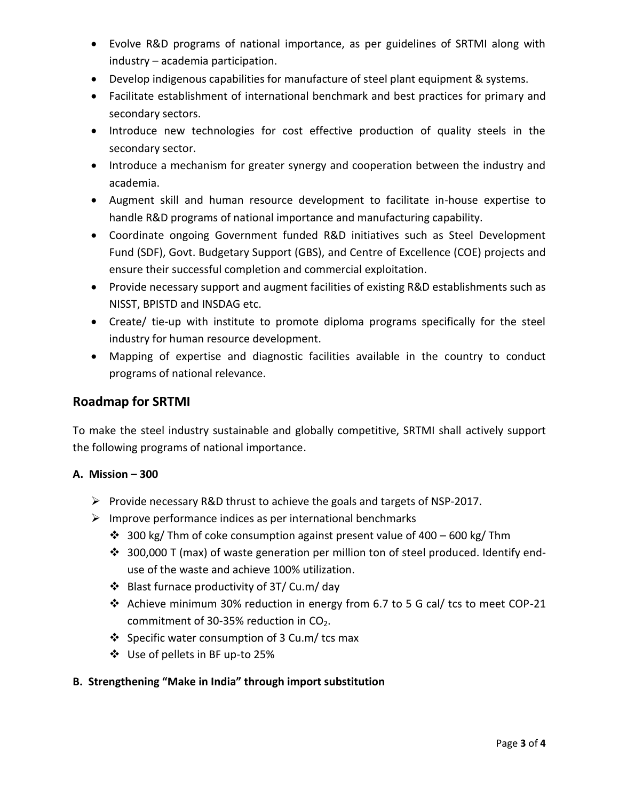- Evolve R&D programs of national importance, as per guidelines of SRTMI along with industry – academia participation.
- Develop indigenous capabilities for manufacture of steel plant equipment & systems.
- Facilitate establishment of international benchmark and best practices for primary and secondary sectors.
- Introduce new technologies for cost effective production of quality steels in the secondary sector.
- Introduce a mechanism for greater synergy and cooperation between the industry and academia.
- Augment skill and human resource development to facilitate in-house expertise to handle R&D programs of national importance and manufacturing capability.
- Coordinate ongoing Government funded R&D initiatives such as Steel Development Fund (SDF), Govt. Budgetary Support (GBS), and Centre of Excellence (COE) projects and ensure their successful completion and commercial exploitation.
- Provide necessary support and augment facilities of existing R&D establishments such as NISST, BPISTD and INSDAG etc.
- Create/ tie-up with institute to promote diploma programs specifically for the steel industry for human resource development.
- Mapping of expertise and diagnostic facilities available in the country to conduct programs of national relevance.

## **Roadmap for SRTMI**

To make the steel industry sustainable and globally competitive, SRTMI shall actively support the following programs of national importance.

#### **A. Mission – 300**

- Provide necessary R&D thrust to achieve the goals and targets of NSP-2017.
- $\triangleright$  Improve performance indices as per international benchmarks
	- $\cdot$  300 kg/ Thm of coke consumption against present value of 400 600 kg/ Thm
	- ◆ 300,000 T (max) of waste generation per million ton of steel produced. Identify enduse of the waste and achieve 100% utilization.
	- Blast furnace productivity of 3T/ Cu.m/ day
	- Achieve minimum 30% reduction in energy from 6.7 to 5 G cal/ tcs to meet COP-21 commitment of 30-35% reduction in  $CO<sub>2</sub>$ .
	- $\div$  Specific water consumption of 3 Cu.m/ tcs max
	- Use of pellets in BF up-to 25%

#### **B. Strengthening "Make in India" through import substitution**